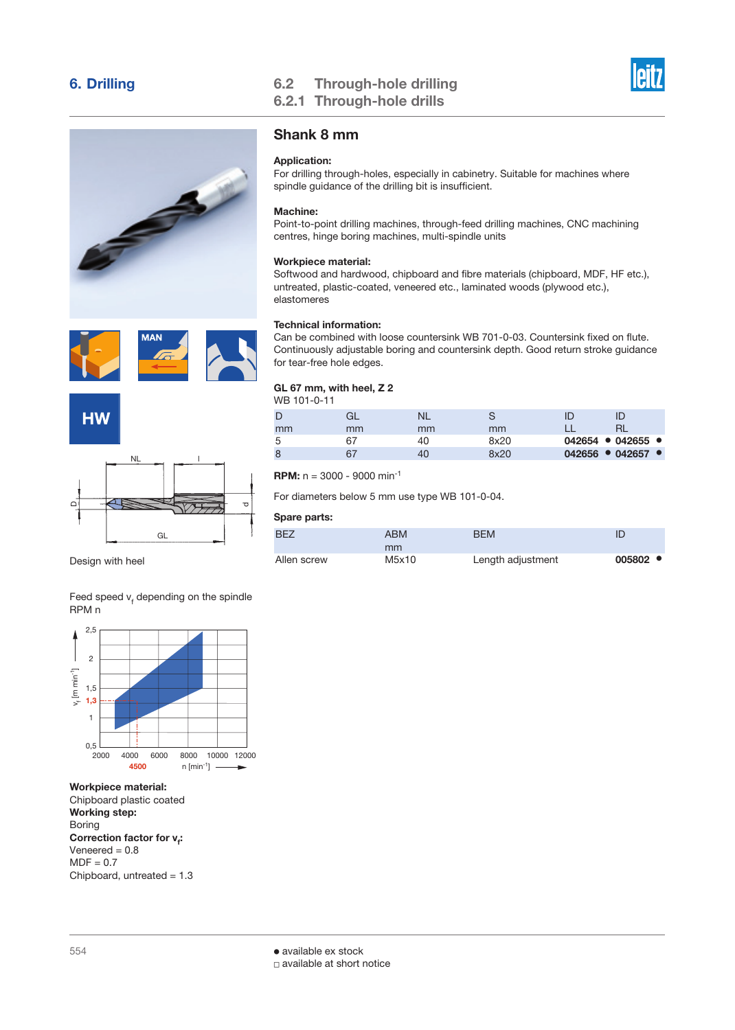





Design with heel

Feed speed  $v_t$  depending on the spindle RPM n



Workpiece material: Chipboard plastic coated Working step: Boring Correction factor for **v**<sub>f</sub>:  $Veneered = 0.8$  $MDF = 0.7$ Chipboard, untreated  $= 1.3$ 

## 6. Drilling 6.2 Through-hole drilling 6.2.1 Through-hole drills



## Shank 8 mm

## Application:

For drilling through-holes, especially in cabinetry. Suitable for machines where spindle guidance of the drilling bit is insufficient.

## Machine:

Point-to-point drilling machines, through-feed drilling machines, CNC machining centres, hinge boring machines, multi-spindle units

## Workpiece material:

Softwood and hardwood, chipboard and fibre materials (chipboard, MDF, HF etc.), untreated, plastic-coated, veneered etc., laminated woods (plywood etc.), elastomeres

## Technical information:

Can be combined with loose countersink WB 701-0-03. Countersink fixed on flute. Continuously adjustable boring and countersink depth. Good return stroke guidance for tear-free hole edges.

#### GL 67 mm, with heel, Z 2  $MDB$  101-0

| VVB 101-0-11 |    |    |      |                                     |  |
|--------------|----|----|------|-------------------------------------|--|
| D            |    | NL |      | ID                                  |  |
| mm           | mm | mm | mm   |                                     |  |
| 5            | 67 | 40 | 8x20 | $042654$ • 042655 •                 |  |
| 8            | 67 | 40 | 8x20 | $042656$ $\bullet$ 042657 $\bullet$ |  |
|              |    |    |      |                                     |  |

**RPM:**  $n = 3000 - 9000$  min<sup>-1</sup>

For diameters below 5 mm use type WB 101-0-04.

| BF <sub>7</sub> | <b>ABM</b> | <b>BFM</b>        |                    |
|-----------------|------------|-------------------|--------------------|
|                 | mm         |                   |                    |
| Allen screw     | M5x10      | Length adjustment | $005802$ $\bullet$ |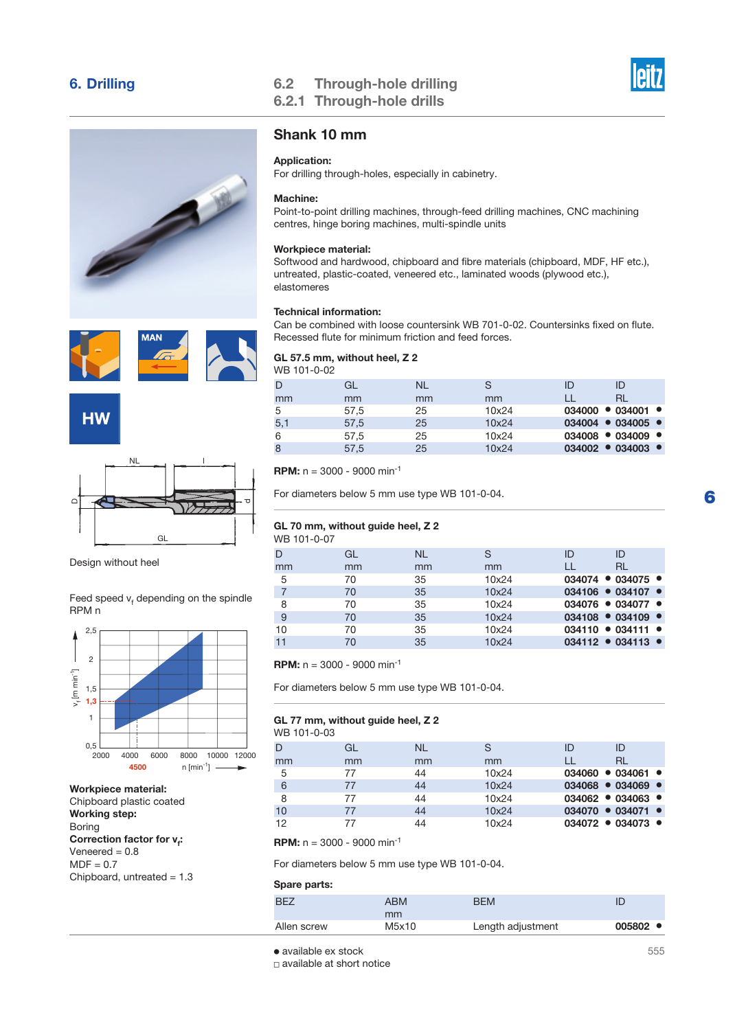







Design without heel

Feed speed  $v_t$  depending on the spindle RPM n

GL

ਹ



## Workpiece material:

Chipboard plastic coated Working step: Boring Correction factor for **v<sub>f</sub>:**  $Veneered = 0.8$  $MDF = 0.7$ Chipboard, untreated = 1.3

## 6. Drilling 6.2 Through-hole drilling 6.2.1 Through-hole drills



## Shank 10 mm

### Application:

For drilling through-holes, especially in cabinetry.

## Machine:

Point-to-point drilling machines, through-feed drilling machines, CNC machining centres, hinge boring machines, multi-spindle units

## Workpiece material:

Softwood and hardwood, chipboard and fibre materials (chipboard, MDF, HF etc.), untreated, plastic-coated, veneered etc., laminated woods (plywood etc.), elastomeres

## Technical information:

Can be combined with loose countersink WB 701-0-02. Countersinks fixed on flute. Recessed flute for minimum friction and feed forces.

## GL 57.5 mm, without heel, Z 2 WB 101-0-02

| ID                                  | ID |       | <b>NL</b> | GL   | D   |
|-------------------------------------|----|-------|-----------|------|-----|
| RL                                  |    | mm    | mm        | mm   | mm  |
| $034000 \cdot 034001 \cdot$         |    | 10x24 | 25        | 57,5 | 5   |
| $034004$ $\bullet$ 034005 $\bullet$ |    | 10x24 | 25        | 57,5 | 5,1 |
| $034008 \cdot 034009 \cdot$         |    | 10x24 | 25        | 57,5 | 6   |
| $034002 - 034003 -$                 |    | 10x24 | 25        | 57,5 | 8   |
|                                     |    |       |           |      |     |

**RPM:**  $n = 3000 - 9000$  min<sup>-1</sup>

For diameters below 5 mm use type WB 101-0-04.

### GL 70 mm, without guide heel, Z 2 WB 101-0-07

| D  | GL | <b>NL</b> | S     | ID | ID                  |
|----|----|-----------|-------|----|---------------------|
| mm | mm | mm        | mm    |    | <b>RL</b>           |
| 5  | 70 | 35        | 10x24 |    | $034074$ • 034075 • |
|    | 70 | 35        | 10x24 |    | $034106$ • 034107 • |
| 8  | 70 | 35        | 10x24 |    | $034076$ • 034077 • |
| 9  | 70 | 35        | 10x24 |    | $034108$ • 034109 • |
| 10 | 70 | 35        | 10x24 |    | $034110 - 034111 -$ |
| 11 | 70 | 35        | 10x24 |    | $034112 - 034113 -$ |

**RPM:**  $n = 3000 - 9000$  min<sup>-1</sup>

For diameters below 5 mm use type WB 101-0-04.

## GL 77 mm, without guide heel, Z 2

| WB 101-0-03 |  |
|-------------|--|
|-------------|--|

|    | GL | <b>NL</b> |       | ID | ID                                  |
|----|----|-----------|-------|----|-------------------------------------|
| mm | mm | mm        | mm    |    | RL.                                 |
| 5  | 77 | 44        | 10x24 |    | $034060 \bullet 034061 \bullet$     |
| 6  | 77 | 44        | 10x24 |    | $034068$ $\bullet$ 034069 $\bullet$ |
| 8  | 77 | 44        | 10x24 |    | $034062$ $\bullet$ 034063 $\bullet$ |
| 10 | 77 | 44        | 10x24 |    | $034070 \cdot 034071 \cdot$         |
| 12 |    | 44        | 10x24 |    | $034072 - 034073 -$                 |

**RPM:**  $n = 3000 - 9000$  min<sup>-1</sup>

For diameters below 5 mm use type WB 101-0-04.

#### Spare parts:

| BF <sub>7</sub> | ABM   | <b>BFM</b>        |                    |
|-----------------|-------|-------------------|--------------------|
|                 | mm    |                   |                    |
| Allen screw     | M5x10 | Length adjustment | $005802$ $\bullet$ |

● available ex stock 3

□ available at short notice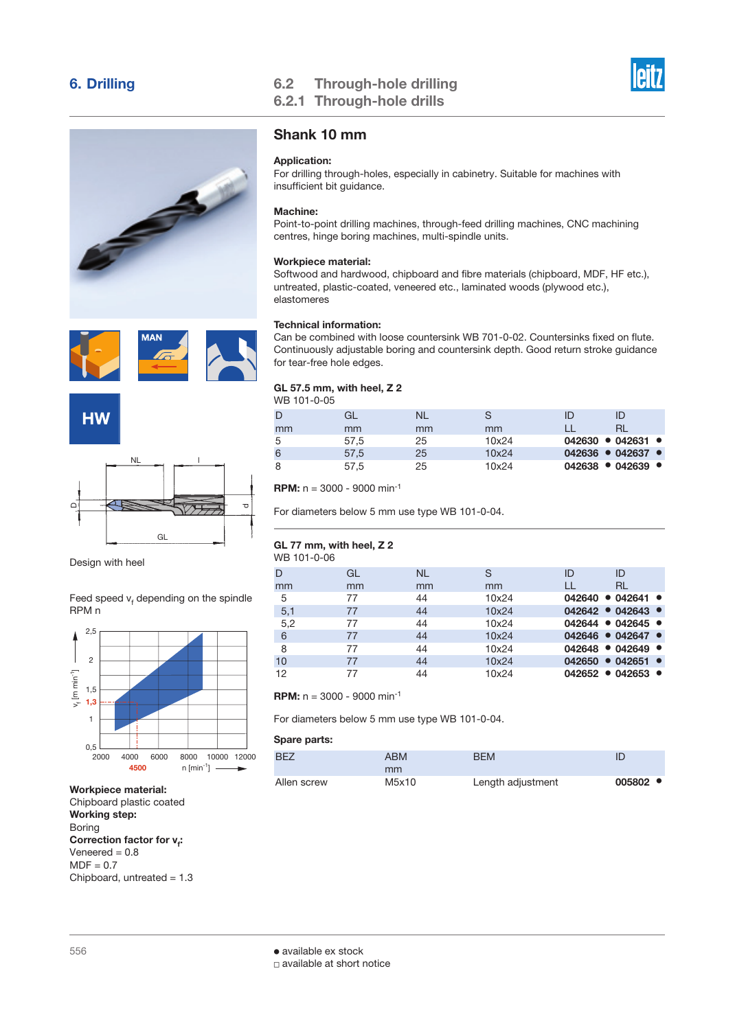





Design with heel

Feed speed  $v_t$  depending on the spindle RPM n



Workpiece material: Chipboard plastic coated Working step: Boring Correction factor for **v<sub>f</sub>:** Veneered  $= 0.8$  $MDF = 0.7$ Chipboard, untreated  $= 1.3$ 

## 6. Drilling 6.2 Through-hole drilling 6.2.1 Through-hole drills



## Shank 10 mm

## Application:

For drilling through-holes, especially in cabinetry. Suitable for machines with insufficient bit guidance.

## Machine:

Point-to-point drilling machines, through-feed drilling machines, CNC machining centres, hinge boring machines, multi-spindle units.

## Workpiece material:

Softwood and hardwood, chipboard and fibre materials (chipboard, MDF, HF etc.), untreated, plastic-coated, veneered etc., laminated woods (plywood etc.), elastomeres

## Technical information:

Can be combined with loose countersink WB 701-0-02. Countersinks fixed on flute. Continuously adjustable boring and countersink depth. Good return stroke guidance for tear-free hole edges.

### GL 57.5 mm, with heel, Z 2 WB 101-0-05

| D  | GL   | NL |       |                                     | ID |  |
|----|------|----|-------|-------------------------------------|----|--|
| mm | mm   | mm | mm    |                                     |    |  |
| 5  | 57,5 | 25 | 10x24 | $042630 \cdot 042631 \cdot$         |    |  |
| 6  | 57,5 | 25 | 10x24 | $042636$ $\bullet$ 042637 $\bullet$ |    |  |
| 8  | 57.5 | 25 | 10x24 | $042638$ • 042639 •                 |    |  |
|    |      |    |       |                                     |    |  |

**RPM:**  $n = 3000 - 9000$  min<sup>-1</sup>

For diameters below 5 mm use type WB 101-0-04.

### GL 77 mm, with heel, Z 2 WB 101-0-06

| VVD IUT-U-UU |    |           |       |                                 |           |  |
|--------------|----|-----------|-------|---------------------------------|-----------|--|
| D            | GL | <b>NL</b> | S     | ID                              | ID        |  |
| mm           | mm | mm        | mm    | LL                              | <b>RL</b> |  |
| 5            | 77 | 44        | 10x24 | $042640 \cdot 042641 \cdot$     |           |  |
| 5,1          | 77 | 44        | 10x24 | $042642 \bullet 042643 \bullet$ |           |  |
| 5,2          | 77 | 44        | 10x24 | 042644 • 042645 •               |           |  |
| 6            | 77 | 44        | 10x24 | $042646$ • 042647 •             |           |  |
| 8            | 77 | 44        | 10x24 | $042648$ • 042649 •             |           |  |
| 10           | 77 | 44        | 10x24 | $042650$ • 042651 •             |           |  |
| 12           | 77 | 44        | 10x24 | $042652 \cdot 042653 \cdot$     |           |  |
|              |    |           |       |                                 |           |  |

## **RPM:**  $n = 3000 - 9000$  min<sup>-1</sup>

For diameters below 5 mm use type WB 101-0-04.

| BF <sub>7</sub> | <b>ABM</b> | <b>BFM</b>        |                    |
|-----------------|------------|-------------------|--------------------|
|                 | mm         |                   |                    |
| Allen screw     | M5x10      | Length adjustment | $005802$ $\bullet$ |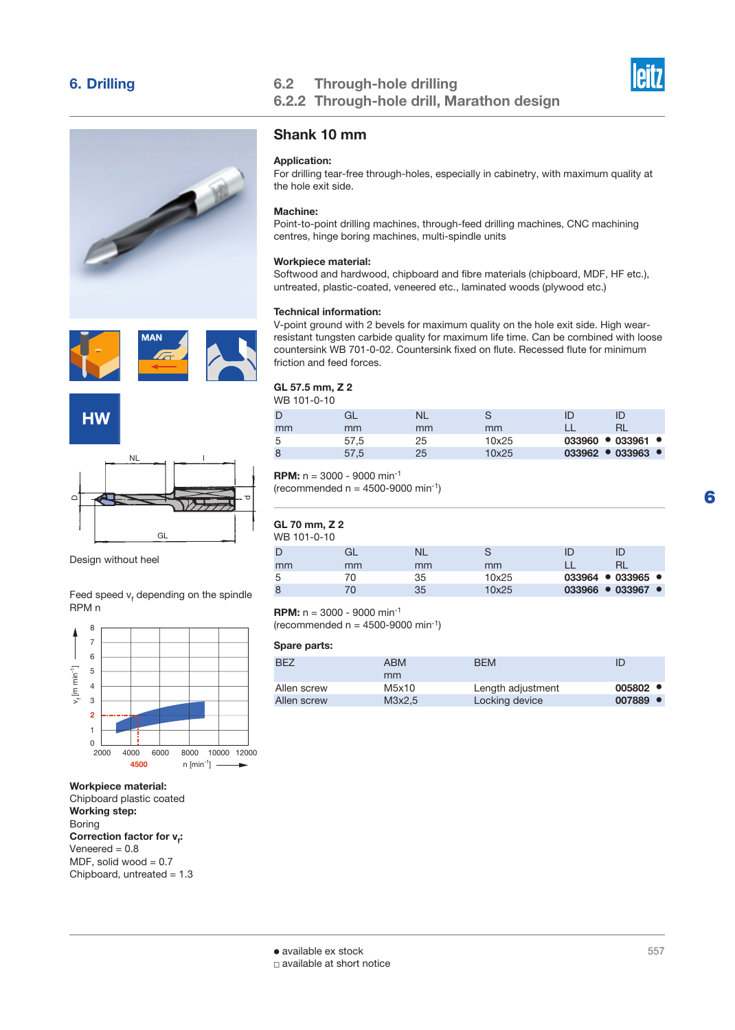





Design without heel

Feed speed  $v_t$  depending on the spindle RPM n



## Workpiece material:

Chipboard plastic coated Working step: Boring Correction factor for **v<sub>f</sub>:** Veneered  $= 0.8$ MDF, solid wood  $= 0.7$ Chipboard, untreated  $= 1.3$ 

## 6. Drilling 6.2 Through-hole drilling 6.2.2 Through-hole drill, marathon design Marathon design



## Shank 10 mm

## Application:

For drilling tear-free through-holes, especially in cabinetry, with maximum quality at the hole exit side.

## Machine:

Point-to-point drilling machines, through-feed drilling machines, CNC machining centres, hinge boring machines, multi-spindle units

### Workpiece material:

Softwood and hardwood, chipboard and fibre materials (chipboard, MDF, HF etc.), untreated, plastic-coated, veneered etc., laminated woods (plywood etc.)

### Technical information:

V-point ground with 2 bevels for maximum quality on the hole exit side. High wearresistant tungsten carbide quality for maximum life time. Can be combined with loose countersink WB 701-0-02. Countersink fixed on flute. Recessed flute for minimum friction and feed forces.

#### GL 57.5 mm, Z 2 WB 101-0-10

| VVD 101-0-10 |      |    |       |                                     |  |
|--------------|------|----|-------|-------------------------------------|--|
| D            | ∫a ⊡ |    |       |                                     |  |
| mm           | mm   | mm | mm    |                                     |  |
| 5            | 57,5 | 25 | 10x25 | $033960$ $\bullet$ 033961 $\bullet$ |  |
| 8            | 57,5 | 25 | 10x25 | $033962$ $\bullet$ 033963 $\bullet$ |  |
|              |      |    |       |                                     |  |

## **RPM:**  $n = 3000 - 9000$  min<sup>-1</sup>

(recommended  $n = 4500-9000$  min<sup>-1</sup>)

## GL 70 mm, Z 2

#### WB 101-0-10 D mm GL mm NL mm S mm ID LL ID RL 5 70 35 10x25 033964 ● 033965 ● 8 70 35 10x25 **033966 ● 033967 ●**

### **RPM:**  $n = 3000 - 9000$  min<sup>-1</sup>

(recommended  $n = 4500-9000$  min<sup>-1</sup>)

| BF <sub>7</sub> | <b>ABM</b>  | <b>BFM</b>        |        |
|-----------------|-------------|-------------------|--------|
| Allen screw     | mm<br>M5x10 | Length adjustment | 005802 |
| Allen screw     | M3x2.5      | Locking device    | 007889 |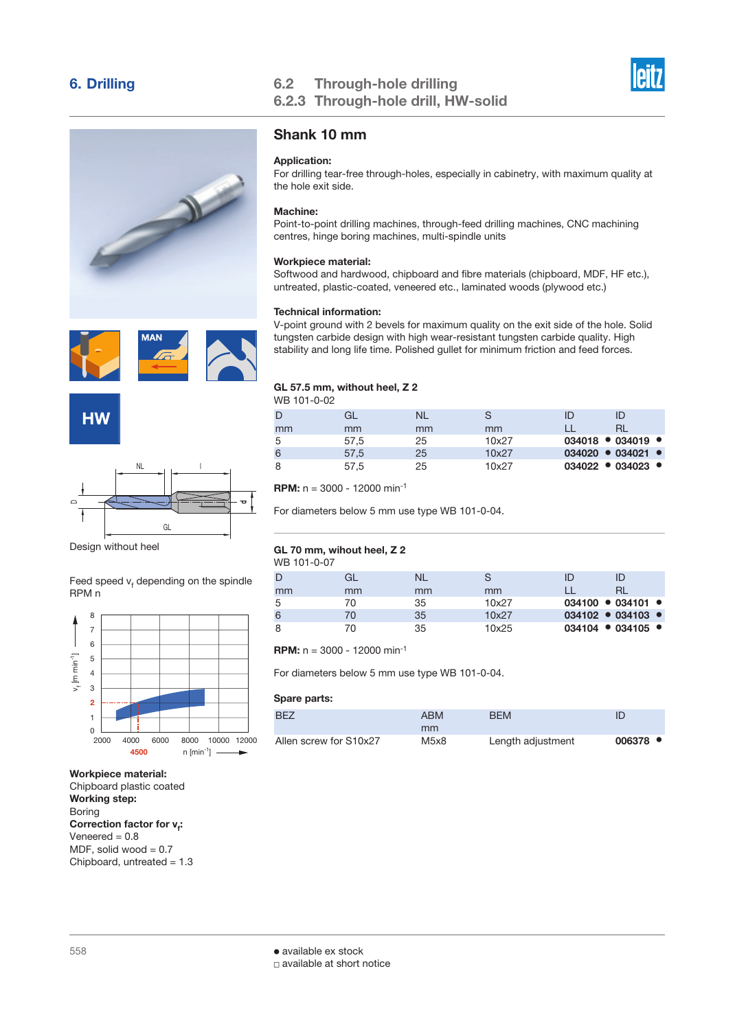





Design without heel

Feed speed  $v_t$  depending on the spindle RPM n



### Workpiece material:

Chipboard plastic coated Working step: Boring Correction factor for **v**<sub>f</sub>: Veneered  $= 0.8$ MDF, solid wood  $= 0.7$ Chipboard, untreated  $= 1.3$ 

## 6. Drilling 6.2 Through-hole drilling 6.2.3 Through-hole drill, HW-solid



## Shank 10 mm

## Application:

For drilling tear-free through-holes, especially in cabinetry, with maximum quality at the hole exit side.

## Machine:

Point-to-point drilling machines, through-feed drilling machines, CNC machining centres, hinge boring machines, multi-spindle units

## Workpiece material:

Softwood and hardwood, chipboard and fibre materials (chipboard, MDF, HF etc.), untreated, plastic-coated, veneered etc., laminated woods (plywood etc.)

## Technical information:

V-point ground with 2 bevels for maximum quality on the exit side of the hole. Solid tungsten carbide design with high wear-resistant tungsten carbide quality. High stability and long life time. Polished gullet for minimum friction and feed forces.

## GL 57.5 mm, without heel, Z 2

| WB 101-0-02 |      |    |       |                             |    |  |
|-------------|------|----|-------|-----------------------------|----|--|
| D           | GL   | NL |       | ID                          | ID |  |
| mm          | mm   | mm | mm    |                             |    |  |
| 5           | 57,5 | 25 | 10x27 | $034018$ • 034019 •         |    |  |
| 6           | 57,5 | 25 | 10x27 | $034020 \cdot 034021 \cdot$ |    |  |
| 8           | 57.5 | 25 | 10x27 | $034022$ • 034023 •         |    |  |

**RPM:**  $n = 3000 - 12000$  min<sup>-1</sup>

For diameters below 5 mm use type WB 101-0-04.

#### GL 70 mm, wihout heel, Z 2 WB 101-0-07

| 11 U U U U |    |    |       |  |                             |  |
|------------|----|----|-------|--|-----------------------------|--|
| D          | GI | NL |       |  | ID                          |  |
| mm         | mm | mm | mm    |  |                             |  |
| 5          | 70 | 35 | 10x27 |  | $034100 \cdot 034101 \cdot$ |  |
| 6          | 70 | 35 | 10x27 |  | $034102 - 034103 -$         |  |
| 8          | 70 | 35 | 10x25 |  | $034104$ • 034105 •         |  |
|            |    |    |       |  |                             |  |

**RPM:**  $n = 3000 - 12000$  min<sup>-1</sup>

For diameters below 5 mm use type WB 101-0-04.

| BF <sub>7</sub>        | <b>ABM</b> | BEM               |                    |
|------------------------|------------|-------------------|--------------------|
|                        | mm         |                   |                    |
| Allen screw for S10x27 | M5x8       | Length adjustment | $006378$ $\bullet$ |